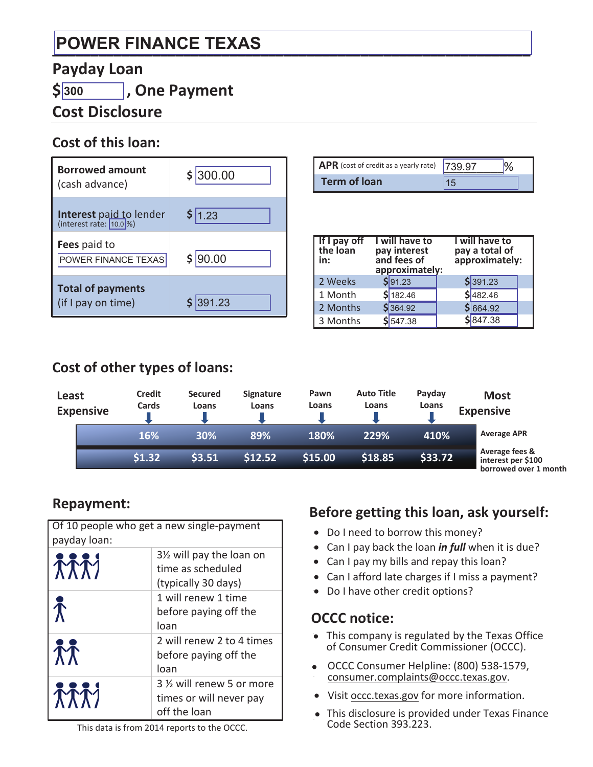# **\_\_\_\_\_\_\_\_\_\_\_\_\_\_\_\_\_\_\_\_\_\_\_\_\_\_\_\_\_\_\_\_\_\_\_\_\_\_\_\_\_\_\_\_\_\_\_\_\_\_\_\_\_\_\_\_\_\_\_\_\_\_ POWER FINANCE TEXAS**

#### **Payday Loan**

**\$ , One Payment 300**

## **Cost Disclosure**

#### **Cost of this loan:**

| <b>Borrowed amount</b><br>(cash advance)                  | \$ 300.00 |
|-----------------------------------------------------------|-----------|
| <b>Interest</b> paid to lender<br>(interest rate: 10.0 %) | \$ 1.23   |
| <b>Fees</b> paid to<br>POWER FINANCE TEXAS                | 90.00     |
| <b>Total of payments</b><br>(if I pay on time)            | 1.23      |

| APR (cost of credit as a yearly rate) 739 97 |  |
|----------------------------------------------|--|
| <b>Term of loan</b>                          |  |

| If I pay off<br>the loan<br>in: | I will have to<br>pay interest<br>and fees of<br>approximately: |           | I will have to<br>pay a total of<br>approximately: |  |
|---------------------------------|-----------------------------------------------------------------|-----------|----------------------------------------------------|--|
| 2 Weeks                         |                                                                 | $S$ 91.23 | \$391.23                                           |  |
| 1 Month                         |                                                                 | \$182.46  | \$ 482.46                                          |  |
| 2 Months                        |                                                                 | \$364.92  | \$ 664.92                                          |  |
| 3 Months                        |                                                                 | 547.38    | \$847.38                                           |  |

## **Cost of other types of loans:**

| Least | <b>Expensive</b> | <b>Credit</b><br><b>Cards</b> | <b>Secured</b><br>Loans | <b>Signature</b><br>Loans | Pawn<br>Loans | <b>Auto Title</b><br>Loans | Payday<br>Loans | <b>Most</b><br><b>Expensive</b>                               |
|-------|------------------|-------------------------------|-------------------------|---------------------------|---------------|----------------------------|-----------------|---------------------------------------------------------------|
|       |                  | 16%                           | 30%                     | 89%                       | 180%          | 229%                       | 410%            | <b>Average APR</b>                                            |
|       |                  | \$1.32                        | \$3.51                  | \$12.52                   | \$15.00       | \$18.85                    | \$33.72         | Average fees &<br>interest per \$100<br>borrowed over 1 month |

### **Repayment:**

| Of 10 people who get a new single-payment<br>payday loan: |                                                                       |  |  |  |
|-----------------------------------------------------------|-----------------------------------------------------------------------|--|--|--|
| <b>TTTI</b>                                               | 3½ will pay the loan on<br>time as scheduled<br>(typically 30 days)   |  |  |  |
| $\bm{\hat{\Lambda}}$                                      | 1 will renew 1 time<br>before paying off the<br>loan                  |  |  |  |
| $\Lambda \Lambda$                                         | 2 will renew 2 to 4 times<br>before paying off the<br>loan            |  |  |  |
| 木木村                                                       | 3 1/2 will renew 5 or more<br>times or will never pay<br>off the loan |  |  |  |

#### **Before getting this loan, ask yourself:**

- Do I need to borrow this money?
- Can I pay back the loan *in full* when it is due?
- Can I pay my bills and repay this loan?
- Can I afford late charges if I miss a payment?
- Do I have other credit options?

#### **OCCC notice:**

- This company is regulated by the Texas Office of Consumer Credit Commissioner (OCCC).
- OCCC Consumer Helpline: (800) 538-1579, consumer.complaints@occc.texas.gov.
- Visit occc.texas.gov for more information.
- This disclosure is provided under Texas Finance Code Section 393.223.

This data is from 2014 reports to the OCCC.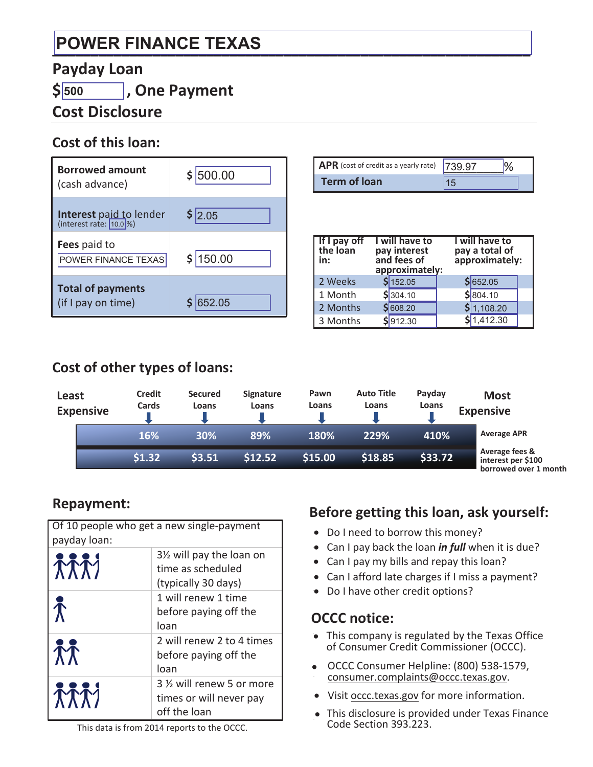# **\_\_\_\_\_\_\_\_\_\_\_\_\_\_\_\_\_\_\_\_\_\_\_\_\_\_\_\_\_\_\_\_\_\_\_\_\_\_\_\_\_\_\_\_\_\_\_\_\_\_\_\_\_\_\_\_\_\_\_\_\_\_ POWER FINANCE TEXAS**

#### **Payday Loan**

**\$ , One Payment 500**

## **Cost Disclosure**

#### **Cost of this loan:**

| <b>Borrowed amount</b><br>(cash advance)                   | \$1500.00 |
|------------------------------------------------------------|-----------|
| <b>Interest</b> paid to lender<br>(interest rate: [10.0]%) | \$2.05    |
| Fees paid to<br>POWER FINANCE TEXAS                        | \$150.00  |
| <b>Total of payments</b><br>(if I pay on time)             | 52.05     |

| APR (cost of credit as a yearly rate) 739 97 |  |
|----------------------------------------------|--|
| <b>Term of loan</b>                          |  |

| If I pay off<br>the loan<br>in: | <b>I</b> will have to<br>pay interest<br>and fees of<br>approximately: | I will have to<br>pay a total of<br>approximately: |  |
|---------------------------------|------------------------------------------------------------------------|----------------------------------------------------|--|
| 2 Weeks                         | 5152.05                                                                | \$ 652.05                                          |  |
| 1 Month                         | \$304.10                                                               | \$ 804.10                                          |  |
| 2 Months                        | \$608.20                                                               | \$1,108.20                                         |  |
| 3 Months                        | \$912.30                                                               | \$1,412.30                                         |  |

## **Cost of other types of loans:**

| Least<br><b>Expensive</b> | <b>Credit</b><br>Cards | <b>Secured</b><br>Loans | <b>Signature</b><br>Loans | Pawn<br>Loans | <b>Auto Title</b><br>Loans | Payday<br>Loans | <b>Most</b><br><b>Expensive</b>                               |
|---------------------------|------------------------|-------------------------|---------------------------|---------------|----------------------------|-----------------|---------------------------------------------------------------|
|                           | 16%                    | 30%                     | 89%                       | 180%          | 229%                       | 410%            | <b>Average APR</b>                                            |
|                           | \$1.32                 | \$3.51                  | \$12.52                   | \$15.00       | \$18.85                    | \$33.72         | Average fees &<br>interest per \$100<br>borrowed over 1 month |

### **Repayment:**

| Of 10 people who get a new single-payment<br>payday loan: |                                                                       |  |  |  |
|-----------------------------------------------------------|-----------------------------------------------------------------------|--|--|--|
| <b>TTTI</b>                                               | 3½ will pay the loan on<br>time as scheduled<br>(typically 30 days)   |  |  |  |
| $\bm{\hat{\Lambda}}$                                      | 1 will renew 1 time<br>before paying off the<br>loan                  |  |  |  |
| $\Lambda \Lambda$                                         | 2 will renew 2 to 4 times<br>before paying off the<br>loan            |  |  |  |
| TTT                                                       | 3 1/2 will renew 5 or more<br>times or will never pay<br>off the loan |  |  |  |

#### **Before getting this loan, ask yourself:**

- Do I need to borrow this money?
- Can I pay back the loan *in full* when it is due?
- Can I pay my bills and repay this loan?
- Can I afford late charges if I miss a payment?
- Do I have other credit options?

#### **OCCC notice:**

- This company is regulated by the Texas Office of Consumer Credit Commissioner (OCCC).
- OCCC Consumer Helpline: (800) 538-1579, consumer.complaints@occc.texas.gov.
- Visit occc.texas.gov for more information.
- This disclosure is provided under Texas Finance Code Section 393.223.

This data is from 2014 reports to the OCCC.